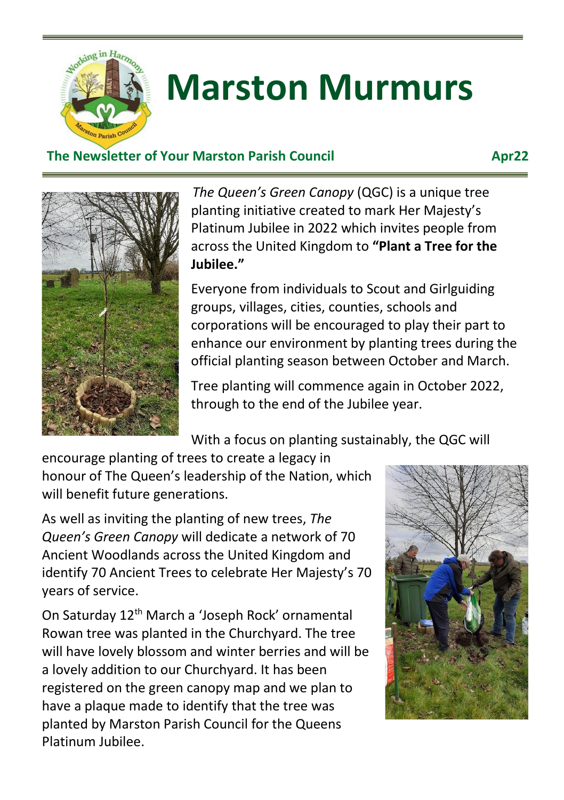

# **Marston Murmurs**

### **The Newsletter of Your Marston Parish Council The Newsletter of Your Marston Parish Council**



*The Queen's Green Canopy* (QGC) is a unique tree planting initiative created to mark Her Majesty's Platinum Jubilee in 2022 which invites people from across the United Kingdom to **"Plant a Tree for the Jubilee."**

Everyone from individuals to Scout and Girlguiding groups, villages, cities, counties, schools and corporations will be encouraged to play their part to enhance our environment by planting trees during the official planting season between October and March.

Tree planting will commence again in October 2022, through to the end of the Jubilee year.

With a focus on planting sustainably, the QGC will

encourage planting of trees to create a legacy in honour of The Queen's leadership of the Nation, which will benefit future generations.

As well as inviting the planting of new trees, *The Queen's Green Canopy* will dedicate a network of 70 Ancient Woodlands across the United Kingdom and identify 70 Ancient Trees to celebrate Her Majesty's 70 years of service.

On Saturday 12th March a 'Joseph Rock' ornamental Rowan tree was planted in the Churchyard. The tree will have lovely blossom and winter berries and will be a lovely addition to our Churchyard. It has been registered on the green canopy map and we plan to have a plaque made to identify that the tree was planted by Marston Parish Council for the Queens Platinum Jubilee.

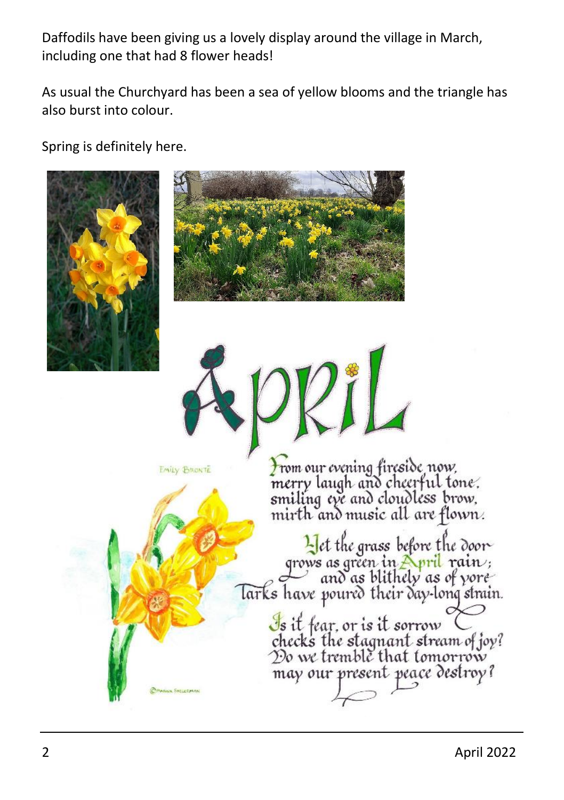Daffodils have been giving us a lovely display around the village in March, including one that had 8 flower heads!

As usual the Churchyard has been a sea of yellow blooms and the triangle has also burst into colour.

Spring is definitely here.







**EMILY BRONTE** 

From our evening fireside now. merry laugh and cheerful tone. smiling eye and cloudless brow. mirth and music all are flown.

Let the grass before the door grows as green in April rain ;<br>and as blithely as of yore larks have poured their day-long strain. Is it fear, or is it sorrow<br>checks the stagnant stream of joy?<br>Do we tremble that tomorrow may our present peace destroy?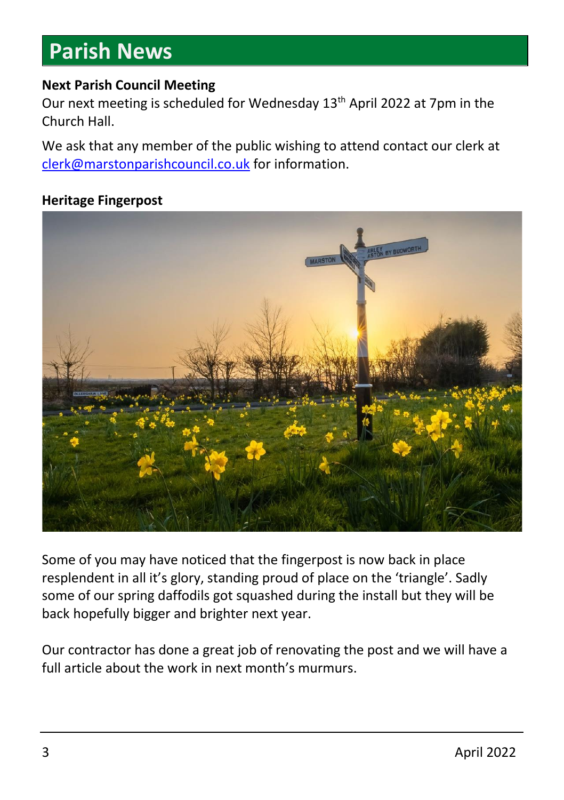### **Parish News**

#### **Next Parish Council Meeting**

Our next meeting is scheduled for Wednesday 13<sup>th</sup> April 2022 at 7pm in the Church Hall.

We ask that any member of the public wishing to attend contact our clerk at [clerk@marstonparishcouncil.co.uk](mailto:clerk@marstonparishcouncil.co.uk) for information.

#### **Heritage Fingerpost**



Some of you may have noticed that the fingerpost is now back in place resplendent in all it's glory, standing proud of place on the 'triangle'. Sadly some of our spring daffodils got squashed during the install but they will be back hopefully bigger and brighter next year.

Our contractor has done a great job of renovating the post and we will have a full article about the work in next month's murmurs.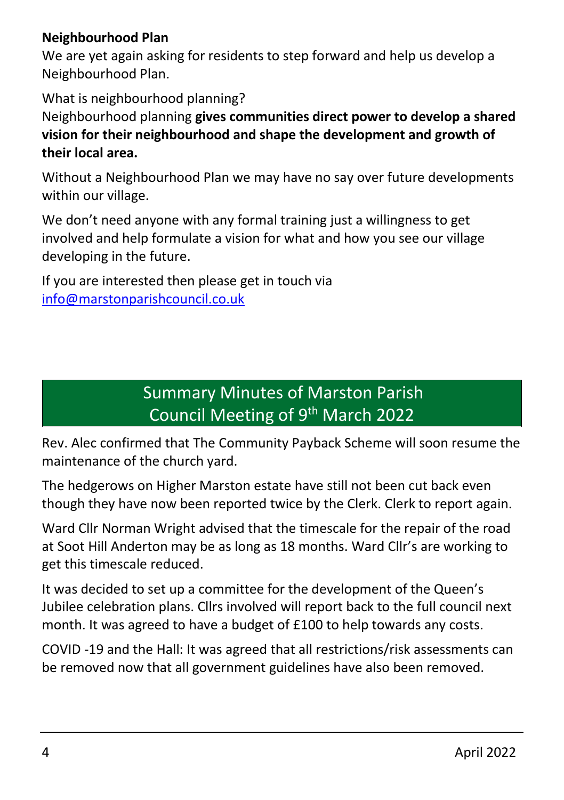### **Neighbourhood Plan**

We are yet again asking for residents to step forward and help us develop a Neighbourhood Plan.

What is neighbourhood planning?

Neighbourhood planning **gives communities direct power to develop a shared vision for their neighbourhood and shape the development and growth of their local area.** 

Without a Neighbourhood Plan we may have no say over future developments within our village.

We don't need anyone with any formal training just a willingness to get involved and help formulate a vision for what and how you see our village developing in the future.

If you are interested then please get in touch via [info@marstonparishcouncil.co.uk](mailto:info@marstonparishcouncil.co.uk)

### Summary Minutes of Marston Parish Council Meeting of 9<sup>th</sup> March 2022

Rev. Alec confirmed that The Community Payback Scheme will soon resume the maintenance of the church yard.

The hedgerows on Higher Marston estate have still not been cut back even though they have now been reported twice by the Clerk. Clerk to report again.

Ward Cllr Norman Wright advised that the timescale for the repair of the road at Soot Hill Anderton may be as long as 18 months. Ward Cllr's are working to get this timescale reduced.

It was decided to set up a committee for the development of the Queen's Jubilee celebration plans. Cllrs involved will report back to the full council next month. It was agreed to have a budget of £100 to help towards any costs.

COVID -19 and the Hall: It was agreed that all restrictions/risk assessments can be removed now that all government guidelines have also been removed.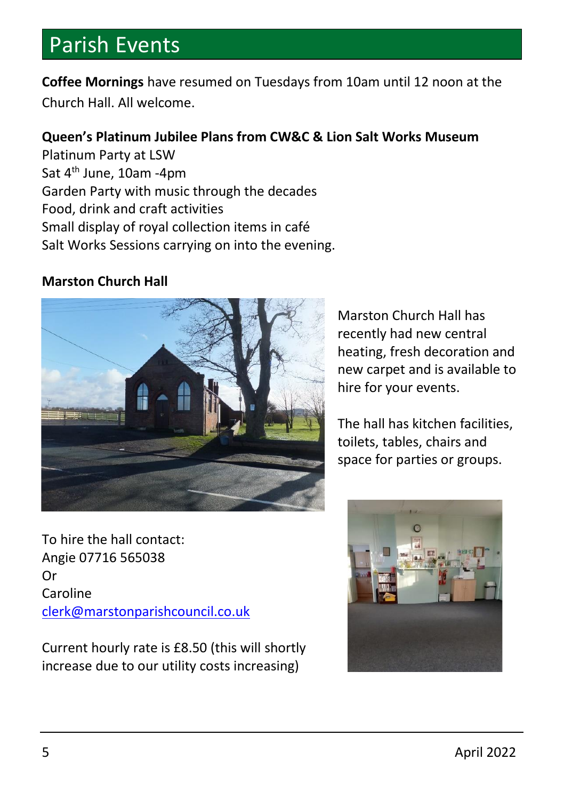### Parish Events

**Coffee Mornings** have resumed on Tuesdays from 10am until 12 noon at the Church Hall. All welcome.

### **Queen's Platinum Jubilee Plans from CW&C & Lion Salt Works Museum**

Platinum Party at LSW Sat 4<sup>th</sup> June, 10am -4pm Garden Party with music through the decades Food, drink and craft activities Small display of royal collection items in café Salt Works Sessions carrying on into the evening.

#### **Marston Church Hall**



To hire the hall contact: Angie 07716 565038 Or Caroline [clerk@marstonparishcouncil.co.uk](mailto:clerk@marstonparishcouncil.co.uk)

Current hourly rate is £8.50 (this will shortly increase due to our utility costs increasing)

Marston Church Hall has recently had new central heating, fresh decoration and new carpet and is available to hire for your events.

The hall has kitchen facilities, toilets, tables, chairs and space for parties or groups.

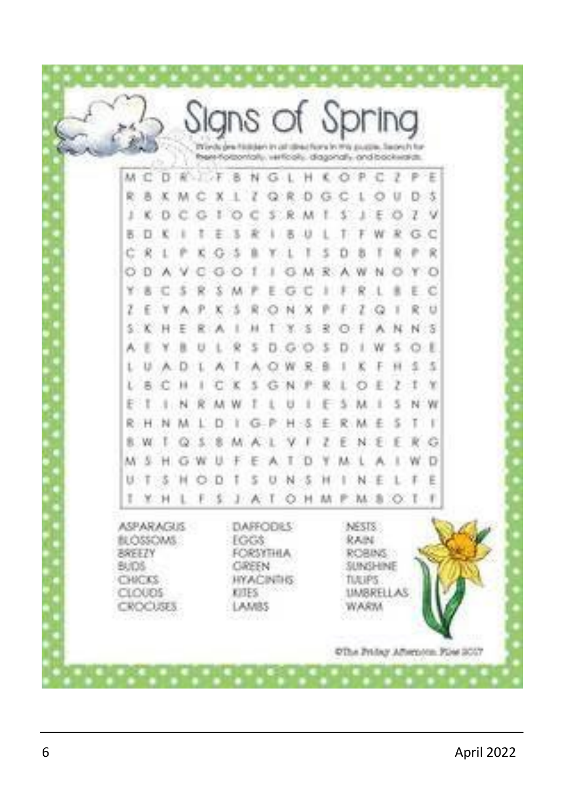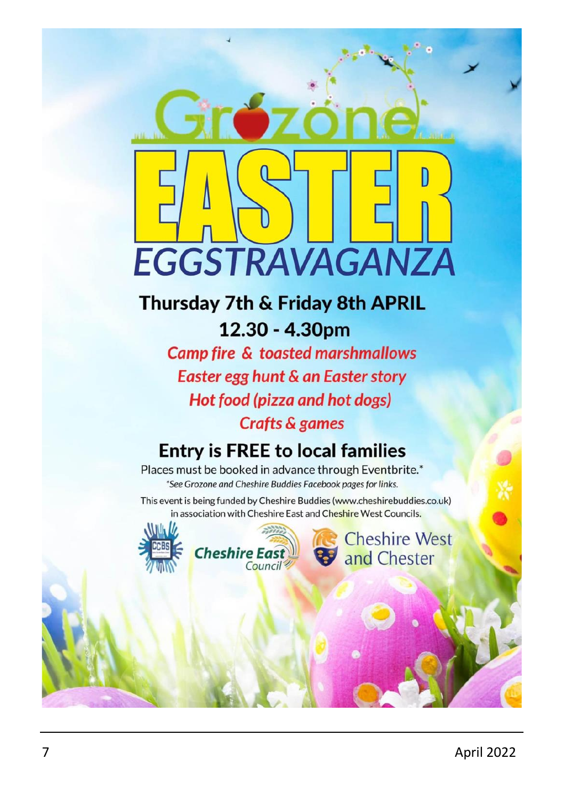

### Thursday 7th & Friday 8th APRIL 12.30 - 4.30pm

**Camp fire & toasted marshmallows** Easter egg hunt & an Easter story Hot food (pizza and hot dogs) **Crafts & games** 

### **Entry is FREE to local families**

Places must be booked in advance through Eventbrite.\* \*See Grozone and Cheshire Buddies Facebook pages for links.

This event is being funded by Cheshire Buddies (www.cheshirebuddies.co.uk) in association with Cheshire East and Cheshire West Councils.



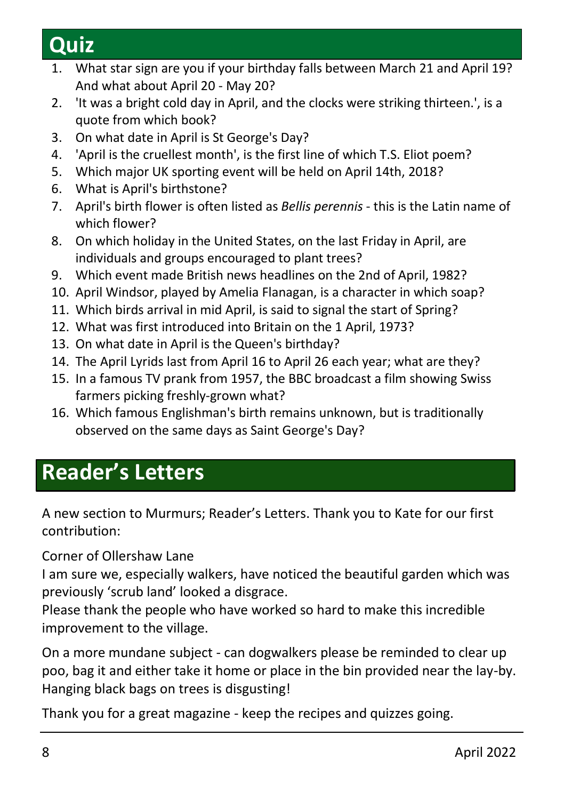# **Quiz**

- 1. What star sign are you if your birthday falls between March 21 and April 19? And what about April 20 - May 20?
- 2. 'It was a bright cold day in April, and the clocks were striking thirteen.', is a quote from which book?
- 3. On what date in April is St George's Day?
- 4. 'April is the cruellest month', is the first line of which T.S. Eliot poem?
- 5. Which major UK sporting event will be held on April 14th, 2018?
- 6. What is April's birthstone?
- 7. April's birth flower is often listed as *Bellis perennis* this is the Latin name of which flower?
- 8. On which holiday in the United States, on the last Friday in April, are individuals and groups encouraged to plant trees?
- 9. Which event made British news headlines on the 2nd of April, 1982?
- 10. April Windsor, played by Amelia Flanagan, is a character in which soap?
- 11. Which birds arrival in mid April, is said to signal the start of Spring?
- 12. What was first introduced into Britain on the 1 April, 1973?
- 13. On what date in April is the Queen's birthday?
- 14. The April Lyrids last from April 16 to April 26 each year; what are they?
- 15. In a famous TV prank from 1957, the BBC broadcast a film showing Swiss farmers picking freshly-grown what?
- 16. Which famous Englishman's birth remains unknown, but is traditionally observed on the same days as Saint George's Day?

### **Reader's Letters**

A new section to Murmurs; Reader's Letters. Thank you to Kate for our first contribution:

Corner of Ollershaw Lane

I am sure we, especially walkers, have noticed the beautiful garden which was previously 'scrub land' looked a disgrace.

Please thank the people who have worked so hard to make this incredible improvement to the village.

On a more mundane subject - can dogwalkers please be reminded to clear up poo, bag it and either take it home or place in the bin provided near the lay-by. Hanging black bags on trees is disgusting!

Thank you for a great magazine - keep the recipes and quizzes going.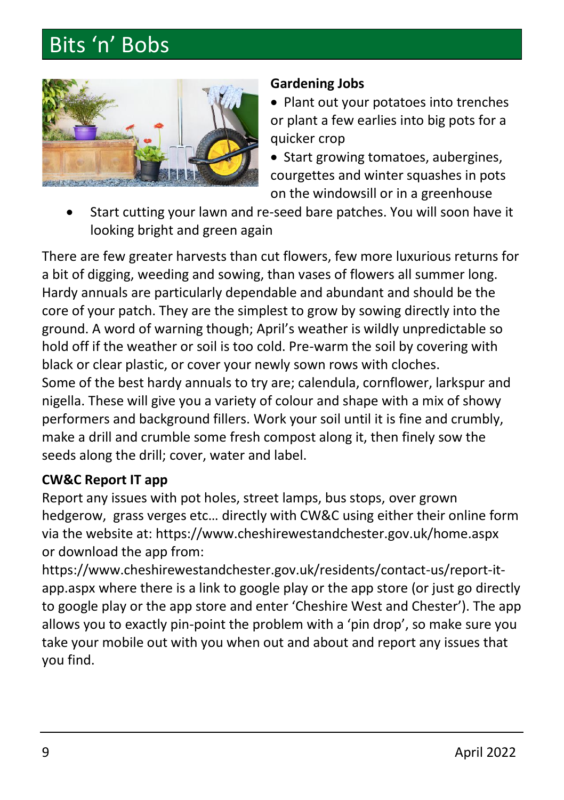# Bits 'n' Bobs



#### **Gardening Jobs**

• Plant out your potatoes into trenches or plant a few earlies into big pots for a quicker crop

• Start growing tomatoes, aubergines, courgettes and winter squashes in pots on the windowsill or in a greenhouse

• Start cutting your lawn and re-seed bare patches. You will soon have it looking bright and green again

There are few greater harvests than cut flowers, few more luxurious returns for a bit of digging, weeding and sowing, than vases of flowers all summer long. Hardy annuals are particularly dependable and abundant and should be the core of your patch. They are the simplest to grow by sowing directly into the ground. A word of warning though; April's weather is wildly unpredictable so hold off if the weather or soil is too cold. Pre-warm the soil by covering with black or clear plastic, or cover your newly sown rows with cloches. Some of the best hardy annuals to try are; calendula, cornflower, larkspur and nigella. These will give you a variety of colour and shape with a mix of showy performers and background fillers. Work your soil until it is fine and crumbly, make a drill and crumble some fresh compost along it, then finely sow the seeds along the drill; cover, water and label.

### **CW&C Report IT app**

Report any issues with pot holes, street lamps, bus stops, over grown hedgerow, grass verges etc… directly with CW&C using either their online form via the website at: https://www.cheshirewestandchester.gov.uk/home.aspx or download the app from:

https://www.cheshirewestandchester.gov.uk/residents/contact-us/report-itapp.aspx where there is a link to google play or the app store (or just go directly to google play or the app store and enter 'Cheshire West and Chester'). The app allows you to exactly pin-point the problem with a 'pin drop', so make sure you take your mobile out with you when out and about and report any issues that you find.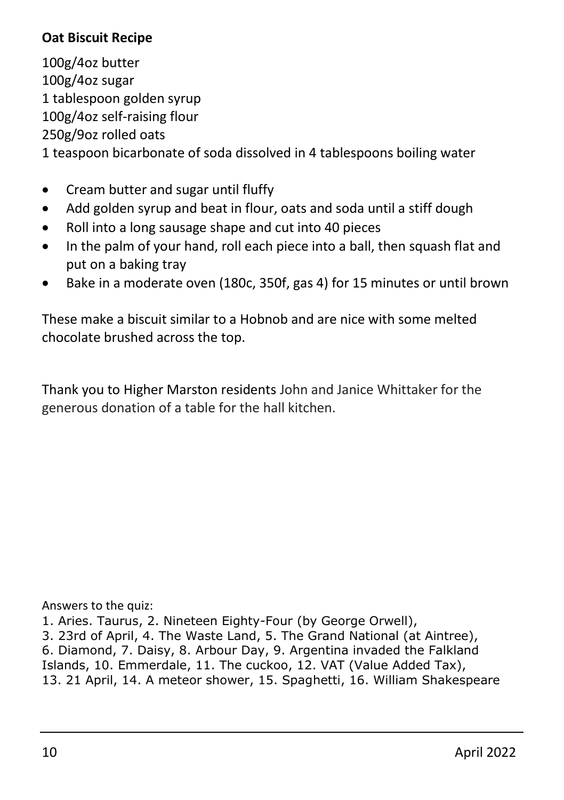### **Oat Biscuit Recipe**

100g/4oz butter 100g/4oz sugar 1 tablespoon golden syrup 100g/4oz self-raising flour 250g/9oz rolled oats

1 teaspoon bicarbonate of soda dissolved in 4 tablespoons boiling water

- Cream butter and sugar until fluffy
- Add golden syrup and beat in flour, oats and soda until a stiff dough
- Roll into a long sausage shape and cut into 40 pieces
- In the palm of your hand, roll each piece into a ball, then squash flat and put on a baking tray
- Bake in a moderate oven (180c, 350f, gas 4) for 15 minutes or until brown

These make a biscuit similar to a Hobnob and are nice with some melted chocolate brushed across the top.

Thank you to Higher Marston residents John and Janice Whittaker for the generous donation of a table for the hall kitchen.

Answers to the quiz:

1. Aries. Taurus, 2. Nineteen Eighty-Four (by George Orwell),

3. 23rd of April, 4. The Waste Land, 5. The Grand National (at Aintree), 6. Diamond, 7. Daisy, 8. Arbour Day, 9. Argentina invaded the Falkland Islands, 10. Emmerdale, 11. The cuckoo, 12. VAT (Value Added Tax), 13. 21 April, 14. A meteor shower, 15. Spaghetti, 16. William Shakespeare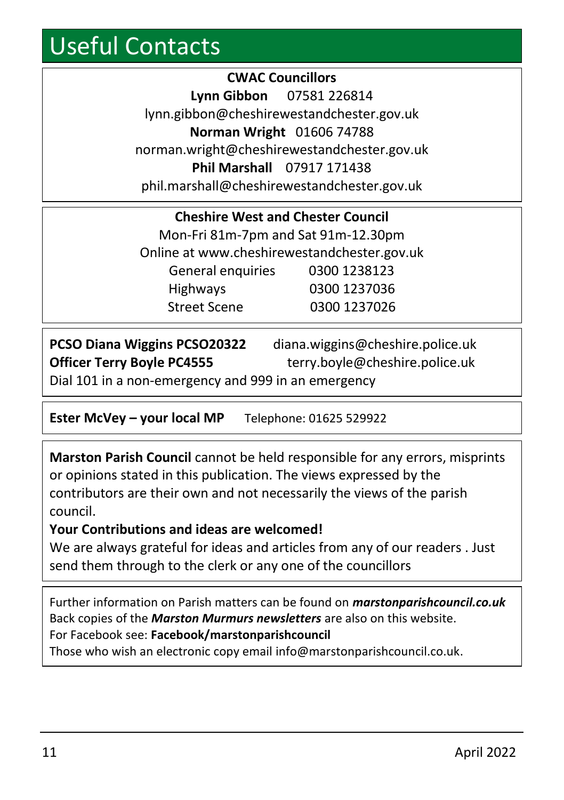# Useful Contacts

**CWAC Councillors Lynn Gibbon** 07581 226814 lynn.gibbon@cheshirewestandchester.gov.uk **Norman Wright** 01606 74788 norman.wright@cheshirewestandchester.gov.uk **Phil Marshall** 07917 171438 phil.marshall@cheshirewestandchester.gov.uk

| <b>Cheshire West and Chester Council</b>    |              |  |
|---------------------------------------------|--------------|--|
| Mon-Fri 81m-7pm and Sat 91m-12.30pm         |              |  |
| Online at www.cheshirewestandchester.gov.uk |              |  |
| General enquiries                           | 0300 1238123 |  |
| Highways                                    | 0300 1237036 |  |
| <b>Street Scene</b>                         | 0300 1237026 |  |

| <b>PCSO Diana Wiggins PCSO20322</b>                 | diana.wiggins@cheshire.police.uk |
|-----------------------------------------------------|----------------------------------|
| <b>Officer Terry Boyle PC4555</b>                   | terry.boyle@cheshire.police.uk   |
| Dial 101 in a non-emergency and 999 in an emergency |                                  |

**Ester McVey – your local MP** Telephone: 01625 529922

**Marston Parish Council** cannot be held responsible for any errors, misprints or opinions stated in this publication. The views expressed by the contributors are their own and not necessarily the views of the parish council.

### **Your Contributions and ideas are welcomed!**

We are always grateful for ideas and articles from any of our readers . Just send them through to the clerk or any one of the councillors

Further information on Parish matters can be found on *marstonparishcouncil.co.uk* Back copies of the *Marston Murmurs newsletters* are also on this website. For Facebook see: **Facebook/marstonparishcouncil**

Those who wish an electronic copy email info@marstonparishcouncil.co.uk.